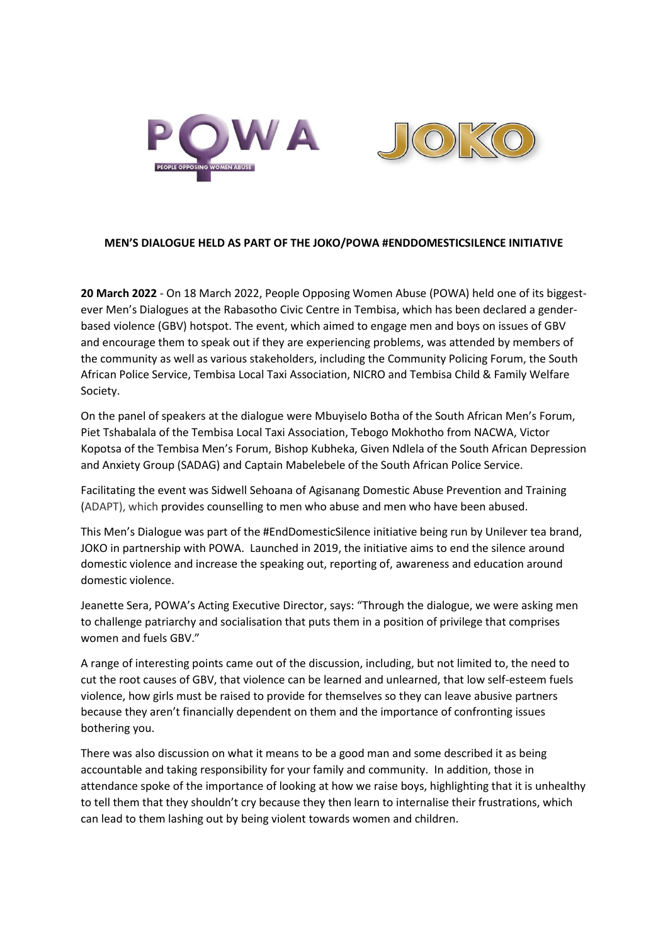

## **MEN'S DIALOGUE HELD AS PART OF THE JOKO/POWA #ENDDOMESTICSILENCE INITIATIVE**

**20 March 2022** - On 18 March 2022, People Opposing Women Abuse (POWA) held one of its biggestever Men's Dialogues at the Rabasotho Civic Centre in Tembisa, which has been declared a genderbased violence (GBV) hotspot. The event, which aimed to engage men and boys on issues of GBV and encourage them to speak out if they are experiencing problems, was attended by members of the community as well as various stakeholders, including the Community Policing Forum, the South African Police Service, Tembisa Local Taxi Association, NICRO and Tembisa Child & Family Welfare Society.

On the panel of speakers at the dialogue were Mbuyiselo Botha of the South African Men's Forum, Piet Tshabalala of the Tembisa Local Taxi Association, Tebogo Mokhotho from NACWA, Victor Kopotsa of the Tembisa Men's Forum, Bishop Kubheka, Given Ndlela of the South African Depression and Anxiety Group (SADAG) and Captain Mabelebele of the South African Police Service.

Facilitating the event was Sidwell Sehoana of Agisanang Domestic Abuse Prevention and Training (ADAPT), which provides counselling to men who abuse and men who have been abused.

This Men's Dialogue was part of the #EndDomesticSilence initiative being run by Unilever tea brand, JOKO in partnership with POWA. Launched in 2019, the initiative aims to end the silence around domestic violence and increase the speaking out, reporting of, awareness and education around domestic violence.

Jeanette Sera, POWA's Acting Executive Director, says: "Through the dialogue, we were asking men to challenge patriarchy and socialisation that puts them in a position of privilege that comprises women and fuels GBV."

A range of interesting points came out of the discussion, including, but not limited to, the need to cut the root causes of GBV, that violence can be learned and unlearned, that low self-esteem fuels violence, how girls must be raised to provide for themselves so they can leave abusive partners because they aren't financially dependent on them and the importance of confronting issues bothering you.

There was also discussion on what it means to be a good man and some described it as being accountable and taking responsibility for your family and community. In addition, those in attendance spoke of the importance of looking at how we raise boys, highlighting that it is unhealthy to tell them that they shouldn't cry because they then learn to internalise their frustrations, which can lead to them lashing out by being violent towards women and children.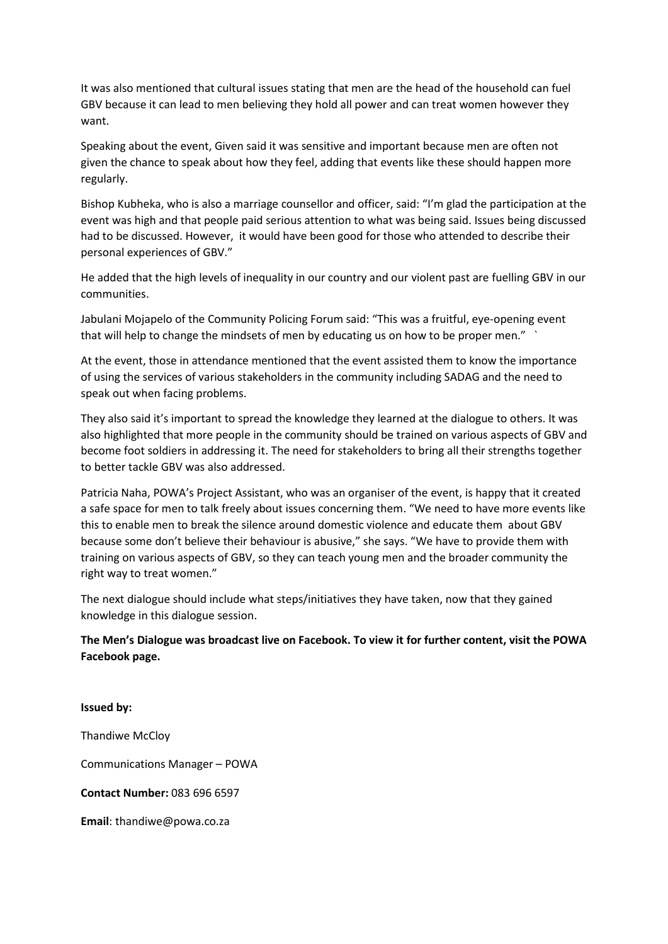It was also mentioned that cultural issues stating that men are the head of the household can fuel GBV because it can lead to men believing they hold all power and can treat women however they want.

Speaking about the event, Given said it was sensitive and important because men are often not given the chance to speak about how they feel, adding that events like these should happen more regularly.

Bishop Kubheka, who is also a marriage counsellor and officer, said: "I'm glad the participation at the event was high and that people paid serious attention to what was being said. Issues being discussed had to be discussed. However, it would have been good for those who attended to describe their personal experiences of GBV."

He added that the high levels of inequality in our country and our violent past are fuelling GBV in our communities.

Jabulani Mojapelo of the Community Policing Forum said: "This was a fruitful, eye-opening event that will help to change the mindsets of men by educating us on how to be proper men."

At the event, those in attendance mentioned that the event assisted them to know the importance of using the services of various stakeholders in the community including SADAG and the need to speak out when facing problems.

They also said it's important to spread the knowledge they learned at the dialogue to others. It was also highlighted that more people in the community should be trained on various aspects of GBV and become foot soldiers in addressing it. The need for stakeholders to bring all their strengths together to better tackle GBV was also addressed.

Patricia Naha, POWA's Project Assistant, who was an organiser of the event, is happy that it created a safe space for men to talk freely about issues concerning them. "We need to have more events like this to enable men to break the silence around domestic violence and educate them about GBV because some don't believe their behaviour is abusive," she says. "We have to provide them with training on various aspects of GBV, so they can teach young men and the broader community the right way to treat women."

The next dialogue should include what steps/initiatives they have taken, now that they gained knowledge in this dialogue session.

**The Men's Dialogue was broadcast live on Facebook. To view it for further content, visit the POWA Facebook page.** 

**Issued by:**  Thandiwe McCloy Communications Manager – POWA **Contact Number:** 083 696 6597 **Email**[: thandiwe@powa.co.za](mailto:thandiwe@powa.co.za)